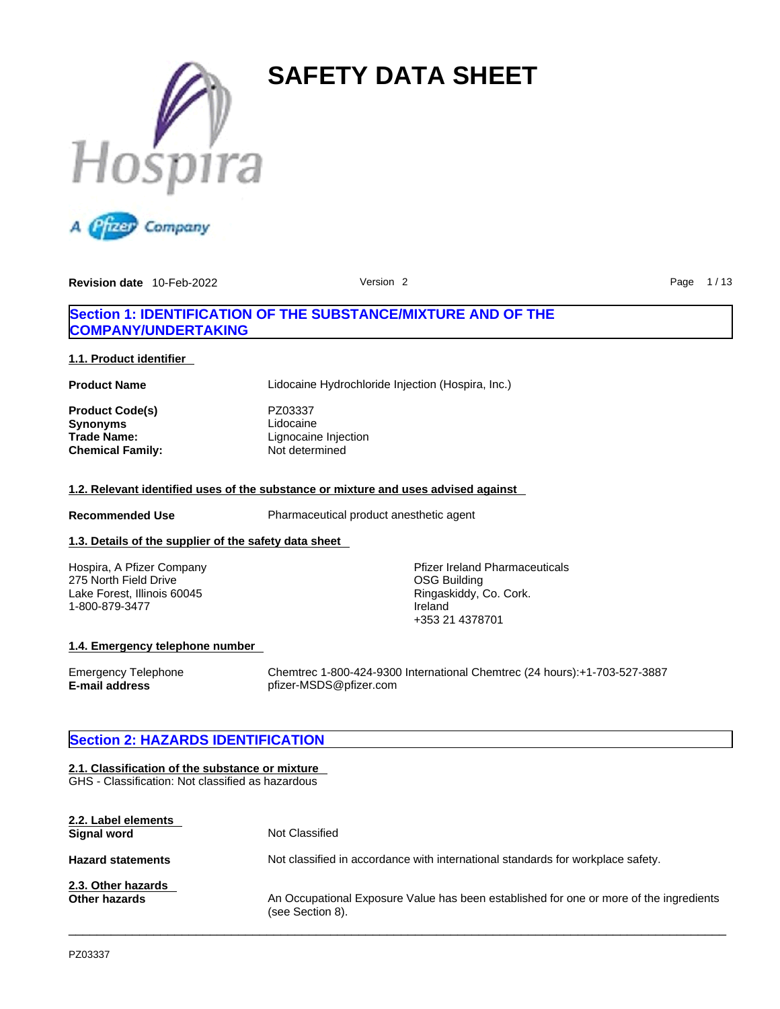



**Revision date** 10-Feb-2022 **Page 1/13** Version 2 **Page 1/13** 

### **Section 1: IDENTIFICATION OF THE SUBSTANCE/MIXTURE AND OF THE COMPANY/UNDERTAKING**

### **1.1. Product identifier**

**Product Name** Lidocaine Hydrochloride Injection (Hospira, Inc.)

- **Product Code(s)** PZ03337 **Synonyms** Lidocaine **Chemical Family:**
- 
- **Trade Name:** Lignocaine Injection<br> **Chemical Family:** Not determined

### **1.2. Relevant identified uses of the substance or mixture and uses advised against**

**Recommended Use** Pharmaceutical product anesthetic agent

### **1.3. Details of the supplier of the safety data sheet**

Hospira, A Pfizer Company 275 North Field Drive Lake Forest, Illinois 60045 1-800-879-3477

Pfizer Ireland Pharmaceuticals OSG Building Ringaskiddy, Co. Cork. Ireland +353 21 4378701

### **1.4. Emergency telephone number**

Emergency Telephone Chemtrec 1-800-424-9300 International Chemtrec (24 hours):+1-703-527-3887 **E-mail address** pfizer-MSDS@pfizer.com

### **Section 2: HAZARDS IDENTIFICATION**

### **2.1. Classification of the substance or mixture**

GHS - Classification: Not classified as hazardous

| 2.2. Label elements<br>Signal word         | Not Classified                                                                                             |
|--------------------------------------------|------------------------------------------------------------------------------------------------------------|
| <b>Hazard statements</b>                   | Not classified in accordance with international standards for workplace safety.                            |
| 2.3. Other hazards<br><b>Other hazards</b> | An Occupational Exposure Value has been established for one or more of the ingredients<br>(see Section 8). |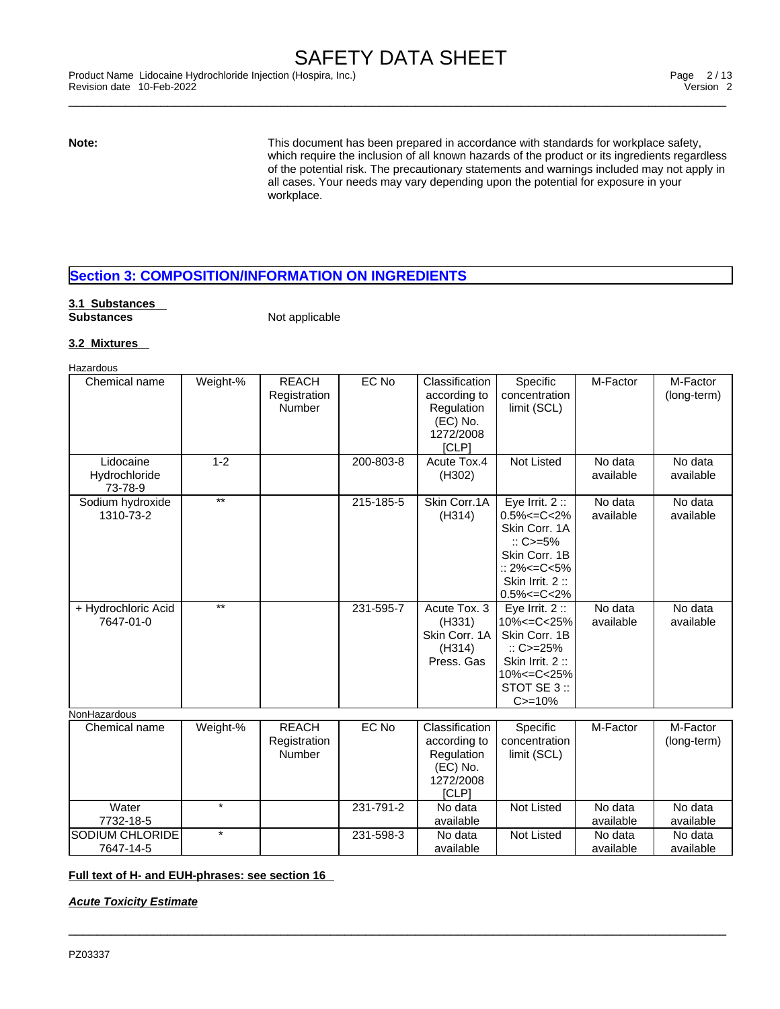\_\_\_\_\_\_\_\_\_\_\_\_\_\_\_\_\_\_\_\_\_\_\_\_\_\_\_\_\_\_\_\_\_\_\_\_\_\_\_\_\_\_\_\_\_\_\_\_\_\_\_\_\_\_\_\_\_\_\_\_\_\_\_\_\_\_\_\_\_\_\_\_\_\_\_\_\_\_\_\_\_\_\_\_\_\_\_\_\_\_\_\_\_ Product Name Lidocaine Hydrochloride Injection (Hospira, Inc.) Page 2 / 13 Revision date 10-Feb-2022 **Version 2** 

**Note:** This document has been prepared in accordance with standards for workplace safety, which require the inclusion of all known hazards of the product or its ingredients regardless of the potential risk. The precautionary statements and warnings included may not apply in all cases. Your needs may vary depending upon the potential for exposure in your workplace.

### **Section 3: COMPOSITION/INFORMATION ON INGREDIENTS**

# **3.1 Substances**

**Not applicable** 

### **3.2 Mixtures**

Hazardous

| Chemical name                         | Weight-%        | <b>REACH</b><br>Registration<br>Number        | EC No     | Classification<br>according to<br>Regulation<br>$(EC)$ No.<br>1272/2008<br>[CLP] | Specific<br>concentration<br>limit (SCL)                                                                                                                        | M-Factor             | M-Factor<br>(long-term) |
|---------------------------------------|-----------------|-----------------------------------------------|-----------|----------------------------------------------------------------------------------|-----------------------------------------------------------------------------------------------------------------------------------------------------------------|----------------------|-------------------------|
| Lidocaine<br>Hydrochloride<br>73-78-9 | $1 - 2$         |                                               | 200-803-8 | Acute Tox.4<br>(H302)                                                            | Not Listed                                                                                                                                                      | No data<br>available | No data<br>available    |
| Sodium hydroxide<br>1310-73-2         | $\overline{**}$ |                                               | 215-185-5 | Skin Corr.1A<br>(H314)                                                           | Eye Irrit. 2 ::<br>$0.5\% < = C < 2\%$<br>Skin Corr. 1A<br>$\therefore$ C>=5%<br>Skin Corr. 1B<br>$:: 2\% < = C < 5\%$<br>Skin Irrit. 2:<br>$0.5\% < = C < 2\%$ | No data<br>available | No data<br>available    |
| + Hydrochloric Acid<br>7647-01-0      | $***$           |                                               | 231-595-7 | Acute Tox. 3<br>(H331)<br>Skin Corr, 1A<br>(H314)<br>Press, Gas                  | Eye Irrit. $2::$<br>10% <= C< 25%<br>Skin Corr. 1B<br>$\therefore$ C>=25%<br>Skin Irrit. 2:<br>10% <= C< 25%<br>STOT SE 3 ::<br>$C = 10%$                       | No data<br>available | No data<br>available    |
| NonHazardous                          |                 |                                               |           |                                                                                  |                                                                                                                                                                 |                      |                         |
| Chemical name                         | Weight-%        | <b>REACH</b><br>Registration<br><b>Number</b> | EC No     | Classification<br>according to<br>Regulation<br>$(EC)$ No.<br>1272/2008<br>[CLP] | Specific<br>concentration<br>limit (SCL)                                                                                                                        | M-Factor             | M-Factor<br>(long-term) |
| Water<br>7732-18-5                    | $\star$         |                                               | 231-791-2 | No data<br>available                                                             | Not Listed                                                                                                                                                      | No data<br>available | No data<br>available    |

231-598-3 No data

 $\_$  ,  $\_$  ,  $\_$  ,  $\_$  ,  $\_$  ,  $\_$  ,  $\_$  ,  $\_$  ,  $\_$  ,  $\_$  ,  $\_$  ,  $\_$  ,  $\_$  ,  $\_$  ,  $\_$  ,  $\_$  ,  $\_$  ,  $\_$  ,  $\_$  ,  $\_$  ,  $\_$  ,  $\_$  ,  $\_$  ,  $\_$  ,  $\_$  ,  $\_$  ,  $\_$  ,  $\_$  ,  $\_$  ,  $\_$  ,  $\_$  ,  $\_$  ,  $\_$  ,  $\_$  ,  $\_$  ,  $\_$  ,  $\_$  ,

available

Not Listed No data

available

No data available

### **Full text of H- and EUH-phrases: see section 16**

*Acute Toxicity Estimate*

SODIUM CHLORIDE 7647-14-5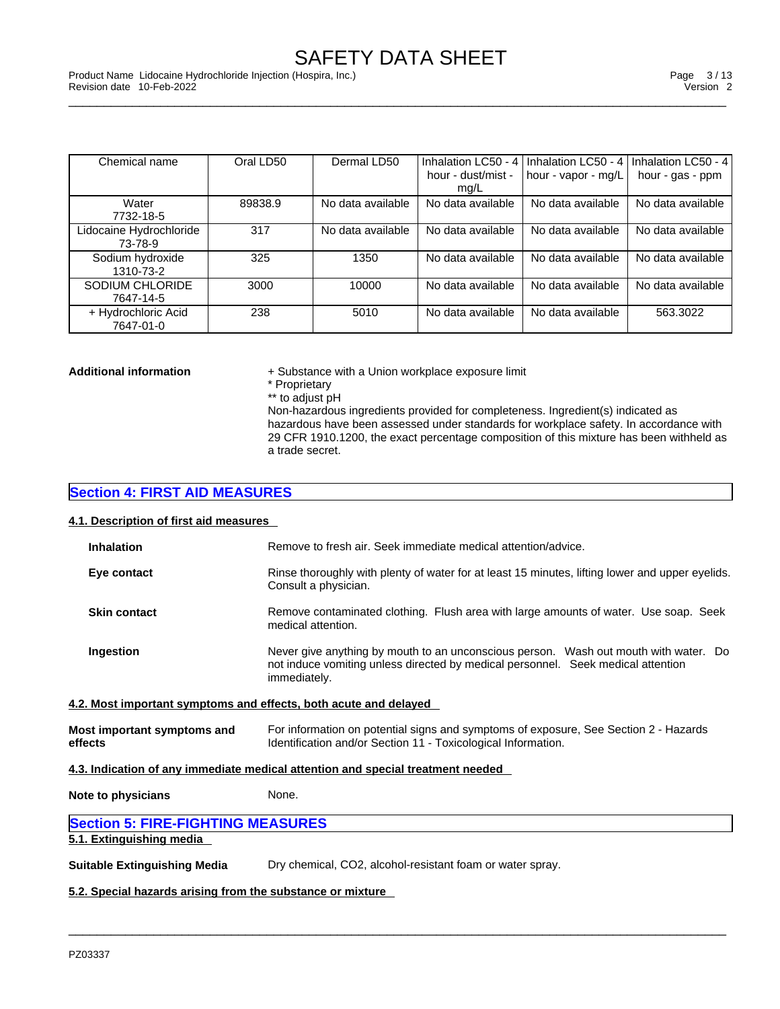| <b>Product Name</b> | Lidocaine Hydrochloride Injection (Hospira, Inc.) | Page | 2112<br>، ب<br>່ເປ |
|---------------------|---------------------------------------------------|------|--------------------|
| Revision date       | 10-Feb-2022                                       |      | Version            |
|                     |                                                   |      |                    |

| Chemical name           | Oral LD50 | Dermal LD50       | Inhalation LC50 - 4 | I Inhalation LC50 - 4 I Inhalation LC50 - 4 I |                   |  |
|-------------------------|-----------|-------------------|---------------------|-----------------------------------------------|-------------------|--|
|                         |           |                   | hour - dust/mist -  | hour - vapor - mg/L                           | hour - gas - ppm  |  |
|                         |           |                   | mg/L                |                                               |                   |  |
| Water                   | 89838.9   | No data available | No data available   | No data available                             | No data available |  |
| 7732-18-5               |           |                   |                     |                                               |                   |  |
| Lidocaine Hydrochloride | 317       | No data available | No data available   | No data available                             | No data available |  |
| 73-78-9                 |           |                   |                     |                                               |                   |  |
| Sodium hydroxide        | 325       | 1350              | No data available   | No data available                             | No data available |  |
| 1310-73-2               |           |                   |                     |                                               |                   |  |
| SODIUM CHLORIDE         | 3000      | 10000             | No data available   | No data available                             | No data available |  |
| 7647-14-5               |           |                   |                     |                                               |                   |  |
| + Hydrochloric Acid     | 238       | 5010              | No data available   | No data available                             | 563.3022          |  |
| 7647-01-0               |           |                   |                     |                                               |                   |  |

Additional information **+ Substance with a Union workplace exposure limit**<br>
\* Proprietary

\*\* to adjust pH

Non-hazardous ingredients provided for completeness. Ingredient(s) indicated as hazardous have been assessed under standards for workplace safety. In accordance with 29 CFR 1910.1200, the exact percentage composition of this mixture has been withheld as a trade secret.

### **Section 4: FIRST AID MEASURES**

### **4.1. Description of first aid measures**

| <b>Inhalation</b>                        | Remove to fresh air. Seek immediate medical attention/advice.                                                                                                                            |
|------------------------------------------|------------------------------------------------------------------------------------------------------------------------------------------------------------------------------------------|
| Eye contact                              | Rinse thoroughly with plenty of water for at least 15 minutes, lifting lower and upper eyelids.<br>Consult a physician.                                                                  |
| <b>Skin contact</b>                      | Remove contaminated clothing. Flush area with large amounts of water. Use soap. Seek<br>medical attention.                                                                               |
| Ingestion                                | Never give anything by mouth to an unconscious person. Wash out mouth with water. Do<br>not induce vomiting unless directed by medical personnel. Seek medical attention<br>immediately. |
|                                          | 4.2. Most important symptoms and effects, both acute and delayed                                                                                                                         |
| Most important symptoms and<br>effects   | For information on potential signs and symptoms of exposure, See Section 2 - Hazards<br>Identification and/or Section 11 - Toxicological Information.                                    |
|                                          | 4.3. Indication of any immediate medical attention and special treatment needed                                                                                                          |
| <b>Note to physicians</b>                | None.                                                                                                                                                                                    |
| <b>Section 5: FIRE-FIGHTING MEASURES</b> |                                                                                                                                                                                          |
| 5.1. Extinguishing media                 |                                                                                                                                                                                          |
| Suitable Extinguishing Media             | Dry chemical, CO2, alcohol-resistant foam or water spray.                                                                                                                                |

 $\_$  ,  $\_$  ,  $\_$  ,  $\_$  ,  $\_$  ,  $\_$  ,  $\_$  ,  $\_$  ,  $\_$  ,  $\_$  ,  $\_$  ,  $\_$  ,  $\_$  ,  $\_$  ,  $\_$  ,  $\_$  ,  $\_$  ,  $\_$  ,  $\_$  ,  $\_$  ,  $\_$  ,  $\_$  ,  $\_$  ,  $\_$  ,  $\_$  ,  $\_$  ,  $\_$  ,  $\_$  ,  $\_$  ,  $\_$  ,  $\_$  ,  $\_$  ,  $\_$  ,  $\_$  ,  $\_$  ,  $\_$  ,  $\_$  ,

**5.2. Special hazards arising from the substance or mixture**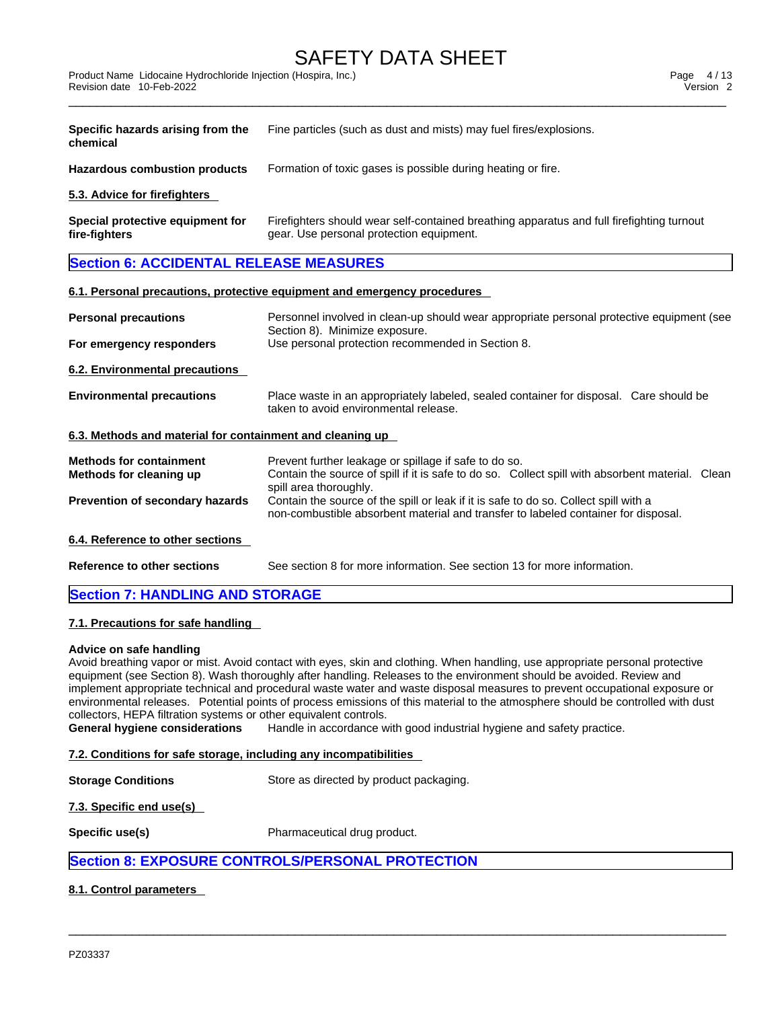| Revision date 10-Feb-2022<br>Version | Product Name L | Lidocaine Hydrochloride Injection (Hospira, Inc.) | 110<br>Page<br>41<br>່າບ |
|--------------------------------------|----------------|---------------------------------------------------|--------------------------|
|                                      |                |                                                   |                          |
|                                      |                |                                                   |                          |

| Specific hazards arising from the<br>chemical             | Fine particles (such as dust and mists) may fuel fires/explosions.                                                                                                                  |
|-----------------------------------------------------------|-------------------------------------------------------------------------------------------------------------------------------------------------------------------------------------|
| <b>Hazardous combustion products</b>                      | Formation of toxic gases is possible during heating or fire.                                                                                                                        |
| 5.3. Advice for firefighters                              |                                                                                                                                                                                     |
| Special protective equipment for<br>fire-fighters         | Firefighters should wear self-contained breathing apparatus and full firefighting turnout<br>gear. Use personal protection equipment.                                               |
| <b>Section 6: ACCIDENTAL RELEASE MEASURES</b>             |                                                                                                                                                                                     |
|                                                           | 6.1. Personal precautions, protective equipment and emergency procedures                                                                                                            |
| <b>Personal precautions</b>                               | Personnel involved in clean-up should wear appropriate personal protective equipment (see<br>Section 8). Minimize exposure.                                                         |
| For emergency responders                                  | Use personal protection recommended in Section 8.                                                                                                                                   |
| 6.2. Environmental precautions                            |                                                                                                                                                                                     |
| <b>Environmental precautions</b>                          | Place waste in an appropriately labeled, sealed container for disposal. Care should be<br>taken to avoid environmental release.                                                     |
| 6.3. Methods and material for containment and cleaning up |                                                                                                                                                                                     |
| <b>Methods for containment</b><br>Methods for cleaning up | Prevent further leakage or spillage if safe to do so.<br>Contain the source of spill if it is safe to do so. Collect spill with absorbent material. Clean<br>spill area thoroughly. |
| Prevention of secondary hazards                           | Contain the source of the spill or leak if it is safe to do so. Collect spill with a<br>non-combustible absorbent material and transfer to labeled container for disposal.          |
| 6.4. Reference to other sections                          |                                                                                                                                                                                     |
| <b>Reference to other sections</b>                        | See section 8 for more information. See section 13 for more information.                                                                                                            |
|                                                           | <b>Section 7: HANDLING AND STORAGE</b>                                                                                                                                              |

### **7.1. Precautions for safe handling**

### **Advice on safe handling**

Avoid breathing vapor or mist. Avoid contact with eyes, skin and clothing. When handling, use appropriate personal protective equipment (see Section 8). Wash thoroughly after handling. Releases to the environment should be avoided. Review and implement appropriate technical and procedural waste water and waste disposal measures to prevent occupational exposure or environmental releases. Potential points of process emissions of this material to the atmosphere should be controlled with dust collectors, HEPA filtration systems or other equivalent controls.

 $\_$  ,  $\_$  ,  $\_$  ,  $\_$  ,  $\_$  ,  $\_$  ,  $\_$  ,  $\_$  ,  $\_$  ,  $\_$  ,  $\_$  ,  $\_$  ,  $\_$  ,  $\_$  ,  $\_$  ,  $\_$  ,  $\_$  ,  $\_$  ,  $\_$  ,  $\_$  ,  $\_$  ,  $\_$  ,  $\_$  ,  $\_$  ,  $\_$  ,  $\_$  ,  $\_$  ,  $\_$  ,  $\_$  ,  $\_$  ,  $\_$  ,  $\_$  ,  $\_$  ,  $\_$  ,  $\_$  ,  $\_$  ,  $\_$  ,

**General hygiene considerations** Handle in accordance with good industrial hygiene and safety practice.

### **7.2. Conditions for safe storage, including any incompatibilities**

**Storage Conditions** Store as directed by product packaging.

**7.3. Specific end use(s)** 

**Specific use(s)** Pharmaceutical drug product.

### **Section 8: EXPOSURE CONTROLS/PERSONAL PROTECTION**

### **8.1. Control parameters**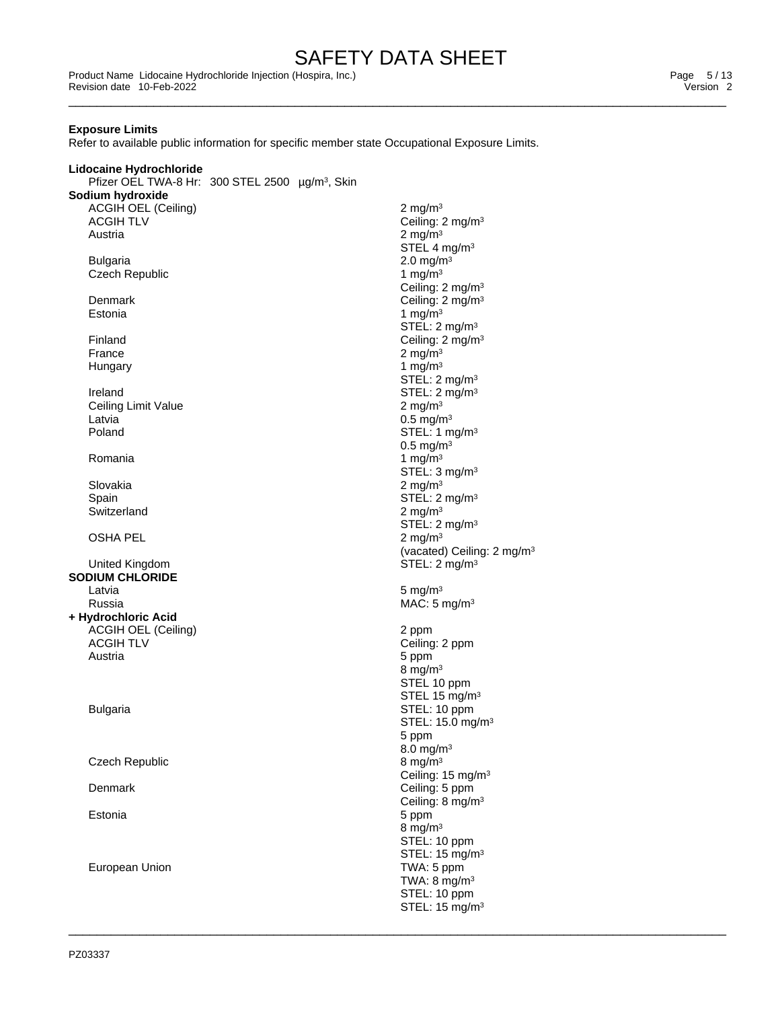$\_$  ,  $\_$  ,  $\_$  ,  $\_$  ,  $\_$  ,  $\_$  ,  $\_$  ,  $\_$  ,  $\_$  ,  $\_$  ,  $\_$  ,  $\_$  ,  $\_$  ,  $\_$  ,  $\_$  ,  $\_$  ,  $\_$  ,  $\_$  ,  $\_$  ,  $\_$  ,  $\_$  ,  $\_$  ,  $\_$  ,  $\_$  ,  $\_$  ,  $\_$  ,  $\_$  ,  $\_$  ,  $\_$  ,  $\_$  ,  $\_$  ,  $\_$  ,  $\_$  ,  $\_$  ,  $\_$  ,  $\_$  ,  $\_$  ,

Product Name Lidocaine Hydrochloride Injection (Hospira, Inc.)<br>2 Page 5/13 Pevision date 10-Feb-2022 Revision date 10-Feb-2022

### **Exposure Limits**

Refer to available public information for specific member state Occupational Exposure Limits.

| Lidocaine Hydrochloride<br>Pfizer OEL TWA-8 Hr: 300 STEL 2500 µg/m <sup>3</sup> , Skin<br>Sodium hydroxide |  |                                        |
|------------------------------------------------------------------------------------------------------------|--|----------------------------------------|
| <b>ACGIH OEL (Ceiling)</b>                                                                                 |  | 2 mg/m $3$                             |
| <b>ACGIH TLV</b>                                                                                           |  | Ceiling: 2 mg/m <sup>3</sup>           |
|                                                                                                            |  |                                        |
| Austria                                                                                                    |  | 2 mg/m $3$                             |
|                                                                                                            |  | STEL 4 mg/m <sup>3</sup>               |
| <b>Bulgaria</b>                                                                                            |  | 2.0 mg/m $3$                           |
| Czech Republic                                                                                             |  | 1 mg/m $3$                             |
|                                                                                                            |  | Ceiling: 2 mg/m <sup>3</sup>           |
| Denmark                                                                                                    |  | Ceiling: 2 mg/m <sup>3</sup>           |
| Estonia                                                                                                    |  | 1 mg/m $3$                             |
|                                                                                                            |  | STEL: 2 mg/m <sup>3</sup>              |
| Finland                                                                                                    |  | Ceiling: 2 mg/m <sup>3</sup>           |
| France                                                                                                     |  | 2 mg/m $3$                             |
| Hungary                                                                                                    |  | 1 mg/m $3$                             |
|                                                                                                            |  | STEL: 2 mg/m <sup>3</sup>              |
| Ireland                                                                                                    |  | STEL: $2 \text{ mg/m}^3$               |
| Ceiling Limit Value                                                                                        |  | $2$ mg/m <sup>3</sup>                  |
| Latvia                                                                                                     |  | $0.5$ mg/m <sup>3</sup>                |
| Poland                                                                                                     |  | STEL: 1 mg/m <sup>3</sup>              |
|                                                                                                            |  | $0.5$ mg/m <sup>3</sup>                |
| Romania                                                                                                    |  | 1 mg/m $3$                             |
|                                                                                                            |  | STEL: 3 mg/m <sup>3</sup>              |
| Slovakia                                                                                                   |  |                                        |
| Spain                                                                                                      |  | 2 mg/m $3$                             |
|                                                                                                            |  | STEL: 2 mg/m <sup>3</sup>              |
| Switzerland                                                                                                |  | 2 mg/m $3$                             |
|                                                                                                            |  | STEL: 2 mg/m <sup>3</sup>              |
| <b>OSHA PEL</b>                                                                                            |  | $2$ mg/m <sup>3</sup>                  |
|                                                                                                            |  | (vacated) Ceiling: 2 mg/m <sup>3</sup> |
| United Kingdom                                                                                             |  | STEL: 2 mg/m <sup>3</sup>              |
| <b>SODIUM CHLORIDE</b>                                                                                     |  |                                        |
| Latvia                                                                                                     |  | 5 mg/m $3$                             |
| Russia                                                                                                     |  | MAC: $5 \text{ mg/m}^3$                |
| + Hydrochloric Acid                                                                                        |  |                                        |
| ACGIH OEL (Ceiling)                                                                                        |  | 2 ppm                                  |
| <b>ACGIH TLV</b>                                                                                           |  | Ceiling: 2 ppm                         |
| Austria                                                                                                    |  | 5 ppm                                  |
|                                                                                                            |  | 8 mg/m $3$                             |
|                                                                                                            |  | STEL 10 ppm                            |
|                                                                                                            |  | STEL 15 mg/m <sup>3</sup>              |
| <b>Bulgaria</b>                                                                                            |  | STEL: 10 ppm                           |
|                                                                                                            |  | STEL: 15.0 mg/m <sup>3</sup>           |
|                                                                                                            |  | 5 ppm                                  |
|                                                                                                            |  | 8.0 mg/m $3$                           |
| Czech Republic                                                                                             |  | 8 mg/m $3$                             |
|                                                                                                            |  | Ceiling: 15 mg/m <sup>3</sup>          |
| Denmark                                                                                                    |  | Ceiling: 5 ppm                         |
|                                                                                                            |  | Ceiling: 8 mg/m <sup>3</sup>           |
| Estonia                                                                                                    |  | 5 ppm                                  |
|                                                                                                            |  | 8 mg/m $3$                             |
|                                                                                                            |  | STEL: 10 ppm                           |
|                                                                                                            |  | STEL: 15 mg/m <sup>3</sup>             |
| European Union                                                                                             |  | TWA: 5 ppm                             |
|                                                                                                            |  |                                        |
|                                                                                                            |  | TWA: 8 mg/m <sup>3</sup>               |
|                                                                                                            |  | STEL: 10 ppm                           |
|                                                                                                            |  | STEL: 15 mg/m <sup>3</sup>             |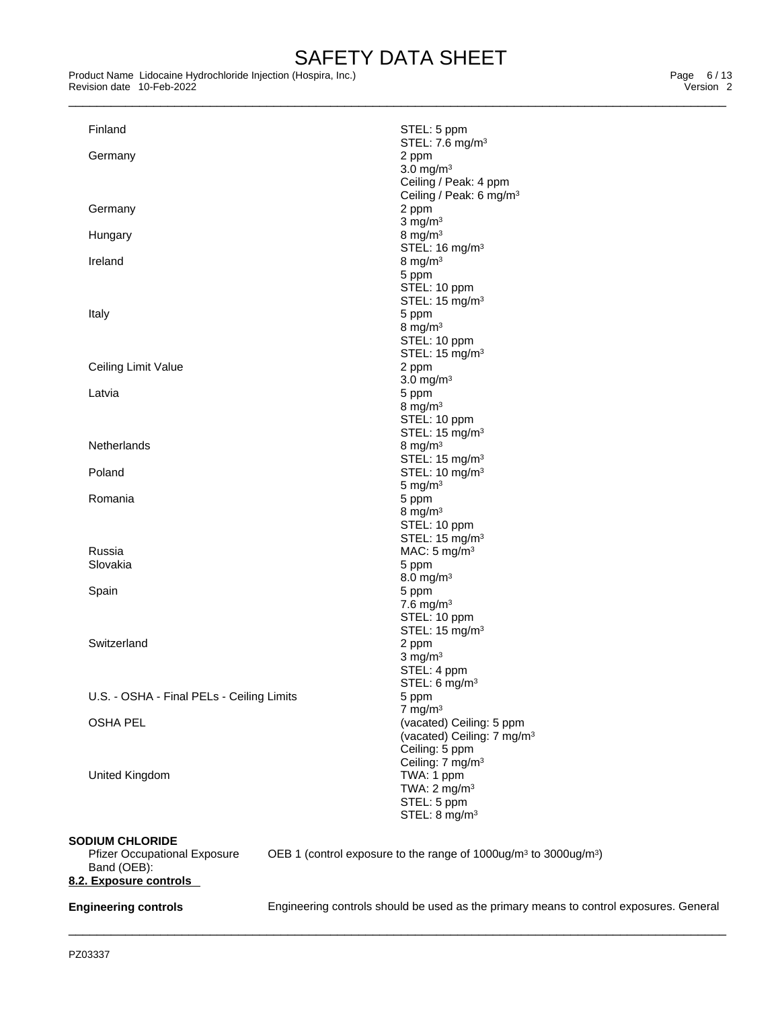Product Name Lidocaine Hydrochloride Injection (Hospira, Inc.)<br>2 Page 6/13<br>2 Version 2 Revision date 10-Feb-2022

| Ceiling Limit Value                       | STEL: 15 mg/m <sup>3</sup><br>2 ppm                                                      |
|-------------------------------------------|------------------------------------------------------------------------------------------|
| Latvia                                    | $3.0 \text{ mg/m}^3$<br>5 ppm                                                            |
|                                           | 8 mg/m $3$                                                                               |
|                                           | STEL: 10 ppm<br>STEL: 15 mg/m <sup>3</sup>                                               |
| <b>Netherlands</b>                        | 8 mg/m $3$                                                                               |
| Poland                                    | STEL: 15 mg/m <sup>3</sup><br>STEL: 10 mg/m <sup>3</sup>                                 |
|                                           | 5 mg/ $m3$                                                                               |
| Romania                                   | 5 ppm<br>8 mg/m $3$                                                                      |
|                                           | STEL: 10 ppm                                                                             |
|                                           | STEL: 15 mg/m <sup>3</sup>                                                               |
| Russia                                    | MAC: $5 \text{ mg/m}^3$                                                                  |
| Slovakia                                  | 5 ppm<br>$8.0$ mg/m <sup>3</sup>                                                         |
| Spain                                     | 5 ppm                                                                                    |
|                                           | 7.6 mg/m $3$                                                                             |
|                                           | STEL: 10 ppm                                                                             |
| Switzerland                               | STEL: 15 mg/m <sup>3</sup><br>2 ppm                                                      |
|                                           | $3$ mg/m $3$                                                                             |
|                                           | STEL: 4 ppm                                                                              |
|                                           | STEL: 6 mg/m <sup>3</sup>                                                                |
| U.S. - OSHA - Final PELs - Ceiling Limits | 5 ppm<br>$7 \text{ mg/m}^3$                                                              |
| <b>OSHA PEL</b>                           | (vacated) Ceiling: 5 ppm                                                                 |
|                                           | (vacated) Ceiling: 7 mg/m <sup>3</sup>                                                   |
|                                           | Ceiling: 5 ppm                                                                           |
|                                           | Ceiling: 7 mg/m <sup>3</sup>                                                             |
| United Kingdom                            | TWA: 1 ppm<br>TWA: $2 \text{ mg/m}^3$                                                    |
|                                           | STEL: 5 ppm                                                                              |
|                                           | STEL: 8 mg/m <sup>3</sup>                                                                |
| <b>SODIUM CHLORIDE</b>                    |                                                                                          |
| <b>Pfizer Occupational Exposure</b>       | OEB 1 (control exposure to the range of 1000ug/m <sup>3</sup> to 3000ug/m <sup>3</sup> ) |
| Band (OEB):                               |                                                                                          |
| 8.2. Exposure controls                    |                                                                                          |
| <b>Engineering controls</b>               | Engineering controls should be used as the primary means to control exposures. General   |
|                                           |                                                                                          |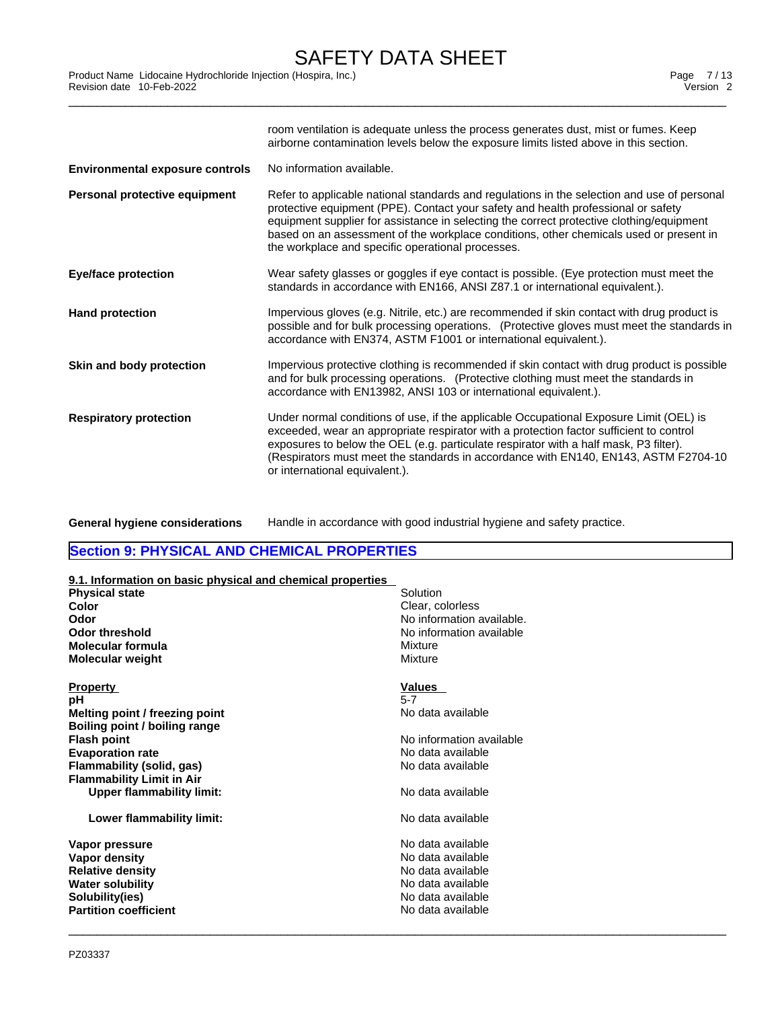Product Name Lidocaine Hydrochloride Injection (Hospira, Inc.)<br>2 Page 7/13<br>2 Version 2 Revision date 10-Feb-2022

|                                        | room ventilation is adequate unless the process generates dust, mist or fumes. Keep<br>airborne contamination levels below the exposure limits listed above in this section.                                                                                                                                                                                                                                                |
|----------------------------------------|-----------------------------------------------------------------------------------------------------------------------------------------------------------------------------------------------------------------------------------------------------------------------------------------------------------------------------------------------------------------------------------------------------------------------------|
| <b>Environmental exposure controls</b> | No information available.                                                                                                                                                                                                                                                                                                                                                                                                   |
| Personal protective equipment          | Refer to applicable national standards and regulations in the selection and use of personal<br>protective equipment (PPE). Contact your safety and health professional or safety<br>equipment supplier for assistance in selecting the correct protective clothing/equipment<br>based on an assessment of the workplace conditions, other chemicals used or present in<br>the workplace and specific operational processes. |
| <b>Eye/face protection</b>             | Wear safety glasses or goggles if eye contact is possible. (Eye protection must meet the<br>standards in accordance with EN166, ANSI Z87.1 or international equivalent.).                                                                                                                                                                                                                                                   |
| <b>Hand protection</b>                 | Impervious gloves (e.g. Nitrile, etc.) are recommended if skin contact with drug product is<br>possible and for bulk processing operations. (Protective gloves must meet the standards in<br>accordance with EN374, ASTM F1001 or international equivalent.).                                                                                                                                                               |
| Skin and body protection               | Impervious protective clothing is recommended if skin contact with drug product is possible<br>and for bulk processing operations. (Protective clothing must meet the standards in<br>accordance with EN13982, ANSI 103 or international equivalent.).                                                                                                                                                                      |
| <b>Respiratory protection</b>          | Under normal conditions of use, if the applicable Occupational Exposure Limit (OEL) is<br>exceeded, wear an appropriate respirator with a protection factor sufficient to control<br>exposures to below the OEL (e.g. particulate respirator with a half mask, P3 filter).<br>(Respirators must meet the standards in accordance with EN140, EN143, ASTM F2704-10<br>or international equivalent.).                         |
|                                        |                                                                                                                                                                                                                                                                                                                                                                                                                             |

**General hygiene considerations** Handle in accordance with good industrial hygiene and safety practice.

### **Section 9: PHYSICAL AND CHEMICAL PROPERTIES**

| 9.1. Information on basic physical and chemical properties |                           |
|------------------------------------------------------------|---------------------------|
| <b>Physical state</b>                                      | Solution                  |
| Color                                                      | Clear, colorless          |
| Odor                                                       | No information available. |
| Odor threshold                                             | No information available  |
| Molecular formula                                          | Mixture                   |
| Molecular weight                                           | Mixture                   |
| <b>Property</b>                                            | <b>Values</b>             |
| рH                                                         | $5 - 7$                   |
| Melting point / freezing point                             | No data available         |
| Boiling point / boiling range                              |                           |
| <b>Flash point</b>                                         | No information available  |
| <b>Evaporation rate</b>                                    | No data available         |
| Flammability (solid, gas)                                  | No data available         |
| <b>Flammability Limit in Air</b>                           |                           |
| <b>Upper flammability limit:</b>                           | No data available         |
| Lower flammability limit:                                  | No data available         |
| Vapor pressure                                             | No data available         |
| Vapor density                                              | No data available         |
| <b>Relative density</b>                                    | No data available         |
| <b>Water solubility</b>                                    | No data available         |
| Solubility(ies)                                            | No data available         |
| <b>Partition coefficient</b>                               | No data available         |
|                                                            |                           |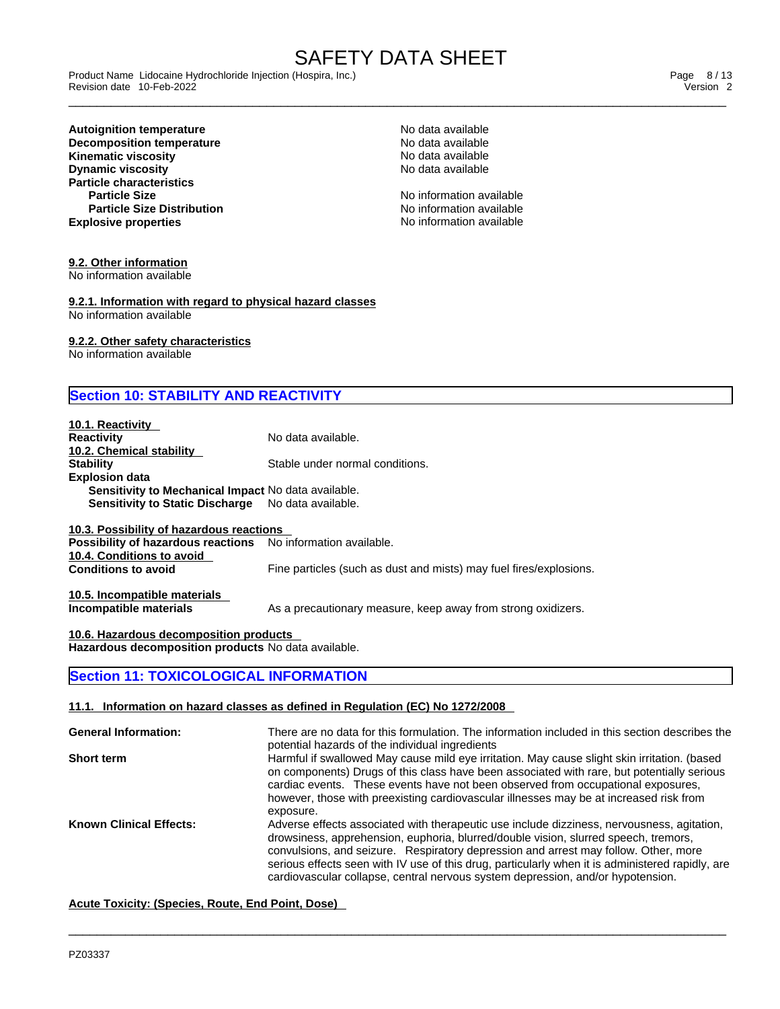# SAFETY DATA SHEET<br>Product Name Lidocaine Hydrochloride Injection (Hospira, Inc.)

\_\_\_\_\_\_\_\_\_\_\_\_\_\_\_\_\_\_\_\_\_\_\_\_\_\_\_\_\_\_\_\_\_\_\_\_\_\_\_\_\_\_\_\_\_\_\_\_\_\_\_\_\_\_\_\_\_\_\_\_\_\_\_\_\_\_\_\_\_\_\_\_\_\_\_\_\_\_\_\_\_\_\_\_\_\_\_\_\_\_\_\_\_ Product Name Lidocaine Hydrochloride Injection (Hospira, Inc.) Page 8 / 13 Revision date 10-Feb-2022 Version 2

### **Explosive properties CONSECTER ACCORDING THE SEXPLOSIVE PROPERTIES** NO information available **Autoignition temperature**<br> **Decomposition temperature**<br> **Decomposition temperature**<br> **No data available Decomposition temperature No data available**<br> **Kinematic viscosity No data available Kinematic viscosity**<br> **Community** Domain Domain Domain Domain Domain Domain Domain Domain Domain Domain Domain Domain Domain Domain Domain Domain Domain Domain Domain Domain Domain Domain Domain Domain Domain Domain Domai **Dynamic viscosity Particle characteristics Particle Size Distribution**

**No information available**<br>**No information available** 

### **9.2. Other information**

No information available

**9.2.1. Information with regard to physical hazard classes** No information available

**9.2.2. Other safety characteristics**

No information available

### **Section 10: STABILITY AND REACTIVITY**

| 10.1. Reactivity<br><b>Reactivity</b><br>10.2. Chemical stability | No data available.                                                 |
|-------------------------------------------------------------------|--------------------------------------------------------------------|
| <b>Stability</b>                                                  | Stable under normal conditions.                                    |
| <b>Explosion data</b>                                             |                                                                    |
| Sensitivity to Mechanical Impact No data available.               |                                                                    |
| <b>Sensitivity to Static Discharge</b>                            | No data available.                                                 |
| 10.3. Possibility of hazardous reactions                          |                                                                    |
| Possibility of hazardous reactions                                | No information available.                                          |
| 10.4. Conditions to avoid                                         |                                                                    |
| <b>Conditions to avoid</b>                                        | Fine particles (such as dust and mists) may fuel fires/explosions. |
| 10.5. Incompatible materials<br>Incompatible materials            | As a precautionary measure, keep away from strong oxidizers.       |

**10.6. Hazardous decomposition products Hazardous decomposition products** No data available.

### **Section 11: TOXICOLOGICAL INFORMATION**

### **11.1. Information on hazard classes as defined in Regulation (EC) No 1272/2008**

**General Information:** There are no data for this formulation. The information included in this section describes the potential hazards of the individual ingredients **Short term Harmful if swallowed May cause mild eye irritation. May cause slight skin irritation. (based** on components) Drugs of this class have been associated with rare, but potentially serious cardiac events. These events have not been observed from occupational exposures, however, those with preexisting cardiovascular illnesses may be at increased risk from exposure. **Known Clinical Effects:** Adverse effects associated with therapeutic use include dizziness, nervousness, agitation, drowsiness, apprehension, euphoria, blurred/double vision, slurred speech, tremors, convulsions, and seizure. Respiratory depression and arrest may follow. Other, more serious effects seen with IV use of this drug, particularly when it is administered rapidly, are cardiovascular collapse, central nervous system depression, and/or hypotension.

 $\_$  ,  $\_$  ,  $\_$  ,  $\_$  ,  $\_$  ,  $\_$  ,  $\_$  ,  $\_$  ,  $\_$  ,  $\_$  ,  $\_$  ,  $\_$  ,  $\_$  ,  $\_$  ,  $\_$  ,  $\_$  ,  $\_$  ,  $\_$  ,  $\_$  ,  $\_$  ,  $\_$  ,  $\_$  ,  $\_$  ,  $\_$  ,  $\_$  ,  $\_$  ,  $\_$  ,  $\_$  ,  $\_$  ,  $\_$  ,  $\_$  ,  $\_$  ,  $\_$  ,  $\_$  ,  $\_$  ,  $\_$  ,  $\_$  ,

**Acute Toxicity: (Species, Route, End Point, Dose)**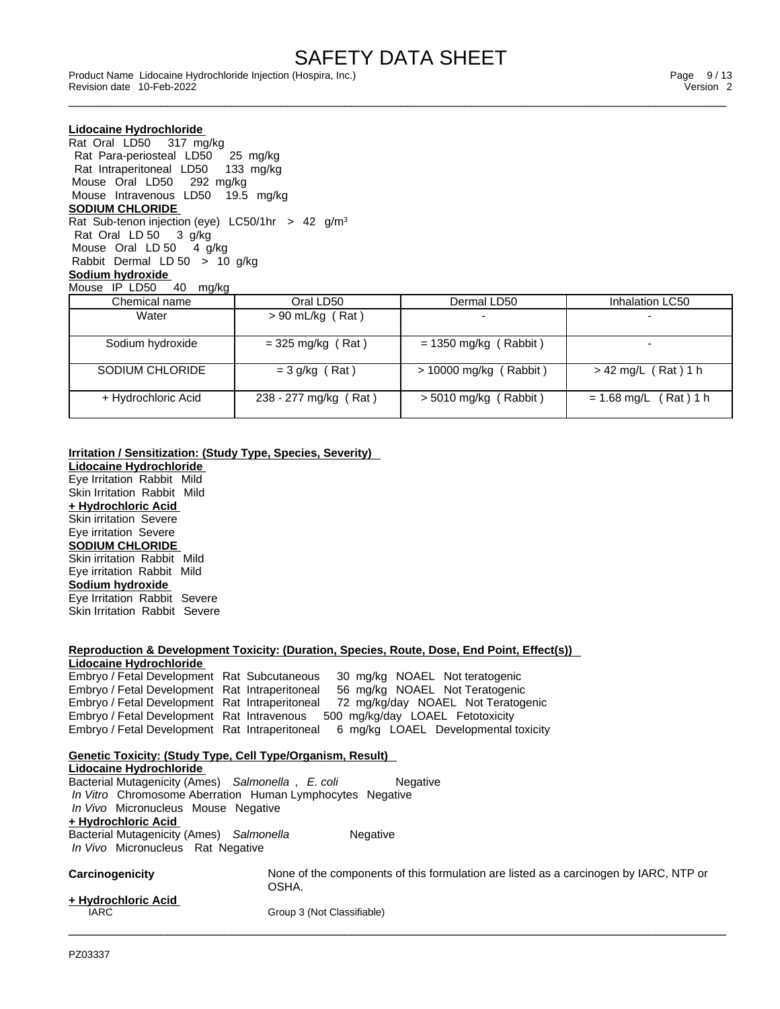# SAFETY DATA SHEET<br>Product Name Lidocaine Hydrochloride Injection (Hospira, Inc.)

\_\_\_\_\_\_\_\_\_\_\_\_\_\_\_\_\_\_\_\_\_\_\_\_\_\_\_\_\_\_\_\_\_\_\_\_\_\_\_\_\_\_\_\_\_\_\_\_\_\_\_\_\_\_\_\_\_\_\_\_\_\_\_\_\_\_\_\_\_\_\_\_\_\_\_\_\_\_\_\_\_\_\_\_\_\_\_\_\_\_\_\_\_ Product Name Lidocaine Hydrochloride Injection (Hospira, Inc.) Page 9 / 13 Revision date 10-Feb-2022 Version 2

### **Lidocaine Hydrochloride** Rat Oral LD50 317 mg/kg Rat Para-periosteal LD50 25 mg/kg Rat Intraperitoneal LD50 133 mg/kg Mouse Oral LD50 292 mg/kg Mouse Intravenous LD50 19.5 mg/kg **SODIUM CHLORIDE** Rat Sub-tenon injection (eye)  $LC50/1$ hr > 42 g/m<sup>3</sup> Rat Oral LD 50 3 g/kg Mouse Oral LD 50 4 g/kg Rabbit Dermal LD 50 > 10 g/kg **Sodium hydroxide** Mouse IP LD50 40 mg/kg

| Chemical name       | Oral LD50             | Dermal LD50                  | Inhalation LC50         |
|---------------------|-----------------------|------------------------------|-------------------------|
| Water               | $> 90$ mL/kg (Rat)    |                              |                         |
| Sodium hydroxide    | $=$ 325 mg/kg (Rat)   | $= 1350$ mg/kg (Rabbit)      |                         |
| SODIUM CHLORIDE     | $=$ 3 g/kg (Rat)      | $> 10000$ mg/kg (Rabbit)     | $>$ 42 mg/L (Rat) 1 h   |
| + Hydrochloric Acid | 238 - 277 mg/kg (Rat) | (Rabbit)<br>$> 5010$ mg/kg ( | $= 1.68$ mg/L (Rat) 1 h |

### **Irritation / Sensitization: (Study Type, Species, Severity)**

**Lidocaine Hydrochloride** Eye Irritation Rabbit Mild Skin Irritation Rabbit Mild **+ Hydrochloric Acid** Skin irritation Severe Eye irritation Severe **SODIUM CHLORIDE** Skin irritation Rabbit Mild Eye irritation Rabbit Mild **Sodium hydroxide** Eye Irritation Rabbit Severe Skin Irritation Rabbit Severe

### **Reproduction & Development Toxicity: (Duration, Species, Route, Dose, End Point, Effect(s)) Lidocaine Hydrochloride** Embryo / Fetal Development Rat Subcutaneous 30 mg/kg NOAEL Not teratogenic Embryo / Fetal Development Rat Intraperitoneal 56 mg/kg NOAEL Not Teratogenic Embryo / Fetal Development Rat Intraperitoneal 72 mg/kg/day NOAEL Not Teratogenic<br>Embryo / Fetal Development Rat Intravenous 500 mg/kg/day LOAEL Fetotoxicity Embryo / Fetal Development Rat Intravenous Embryo / Fetal Development Rat Intraperitoneal 6 mg/kg LOAEL Developmental toxicity **Genetic Toxicity: (Study Type, Cell Type/Organism, Result) Lidocaine Hydrochloride** Bacterial Mutagenicity (Ames) *Salmonella* , *E. coli* Negative  *In Vitro* Chromosome Aberration Human Lymphocytes Negative  *In Vivo* Micronucleus Mouse Negative **+ Hydrochloric Acid** Bacterial Mutagenicity (Ames) Salmonella **Negative**  *In Vivo* Micronucleus Rat Negative **Carcinogenicity** None of the components of this formulation are listed as a carcinogen by IARC, NTP or OSHA. **+ Hydrochloric Acid** IARC Group 3 (Not Classifiable)  $\_$  ,  $\_$  ,  $\_$  ,  $\_$  ,  $\_$  ,  $\_$  ,  $\_$  ,  $\_$  ,  $\_$  ,  $\_$  ,  $\_$  ,  $\_$  ,  $\_$  ,  $\_$  ,  $\_$  ,  $\_$  ,  $\_$  ,  $\_$  ,  $\_$  ,  $\_$  ,  $\_$  ,  $\_$  ,  $\_$  ,  $\_$  ,  $\_$  ,  $\_$  ,  $\_$  ,  $\_$  ,  $\_$  ,  $\_$  ,  $\_$  ,  $\_$  ,  $\_$  ,  $\_$  ,  $\_$  ,  $\_$  ,  $\_$  ,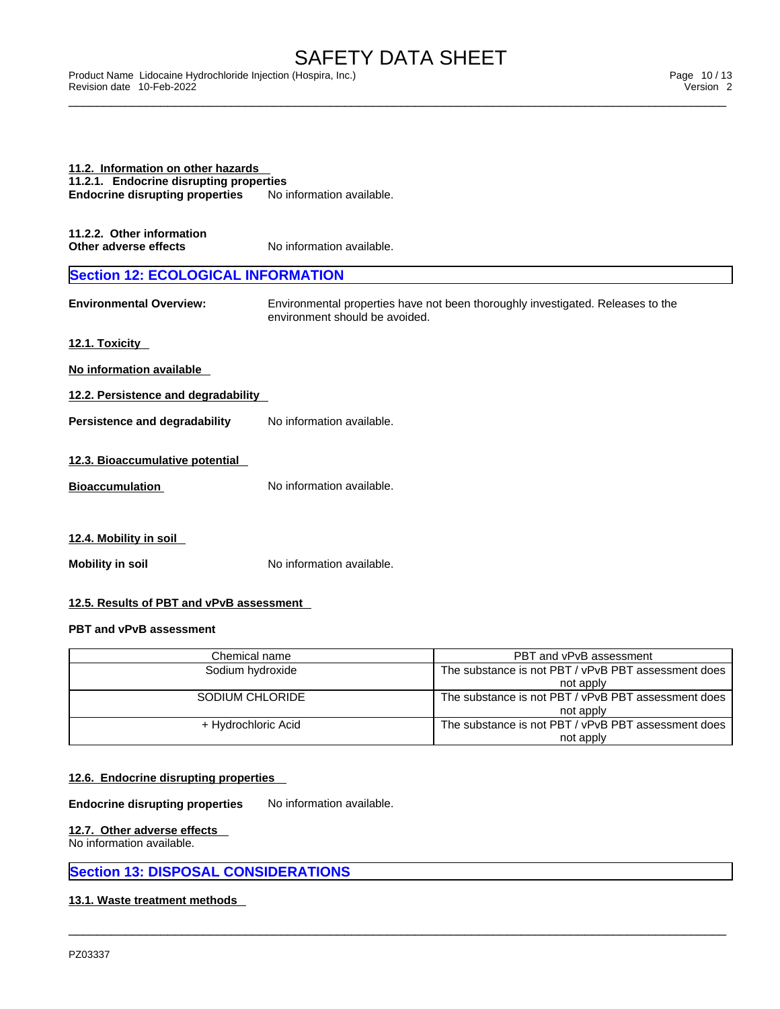Product Name Lidocaine Hydrochloride Injection (Hospira, Inc.)<br>2 Page 10/13<br>2 Version 2 Revision date 10-Feb-2022

| 11.2. Information on other hazards<br>11.2.1. Endocrine disrupting properties<br><b>Endocrine disrupting properties</b> | No information available.                                                                                         |
|-------------------------------------------------------------------------------------------------------------------------|-------------------------------------------------------------------------------------------------------------------|
| 11.2.2. Other information<br>Other adverse effects                                                                      | No information available.                                                                                         |
| <b>Section 12: ECOLOGICAL INFORMATION</b>                                                                               |                                                                                                                   |
| <b>Environmental Overview:</b>                                                                                          | Environmental properties have not been thoroughly investigated. Releases to the<br>environment should be avoided. |
| 12.1. Toxicity                                                                                                          |                                                                                                                   |
| No information available                                                                                                |                                                                                                                   |
| 12.2. Persistence and degradability                                                                                     |                                                                                                                   |
| Persistence and degradability                                                                                           | No information available.                                                                                         |
| 12.3. Bioaccumulative potential                                                                                         |                                                                                                                   |
| <b>Bioaccumulation</b>                                                                                                  | No information available.                                                                                         |
| 12.4. Mobility in soil                                                                                                  |                                                                                                                   |
| <b>Mobility in soil</b>                                                                                                 | No information available.                                                                                         |

### **12.5. Results of PBT and vPvB assessment**

### **PBT and vPvB assessment**

| Chemical name       | PBT and vPvB assessment                             |
|---------------------|-----------------------------------------------------|
| Sodium hydroxide    | The substance is not PBT / vPvB PBT assessment does |
|                     | not apply                                           |
| SODIUM CHLORIDE     | The substance is not PBT / vPvB PBT assessment does |
|                     | not apply                                           |
| + Hydrochloric Acid | The substance is not PBT / vPvB PBT assessment does |
|                     | not apply                                           |

 $\_$  ,  $\_$  ,  $\_$  ,  $\_$  ,  $\_$  ,  $\_$  ,  $\_$  ,  $\_$  ,  $\_$  ,  $\_$  ,  $\_$  ,  $\_$  ,  $\_$  ,  $\_$  ,  $\_$  ,  $\_$  ,  $\_$  ,  $\_$  ,  $\_$  ,  $\_$  ,  $\_$  ,  $\_$  ,  $\_$  ,  $\_$  ,  $\_$  ,  $\_$  ,  $\_$  ,  $\_$  ,  $\_$  ,  $\_$  ,  $\_$  ,  $\_$  ,  $\_$  ,  $\_$  ,  $\_$  ,  $\_$  ,  $\_$  ,

### **12.6. Endocrine disrupting properties**

**Endocrine disrupting properties** No information available.

### **12.7. Other adverse effects**

No information available.

### **Section 13: DISPOSAL CONSIDERATIONS**

### **13.1. Waste treatment methods**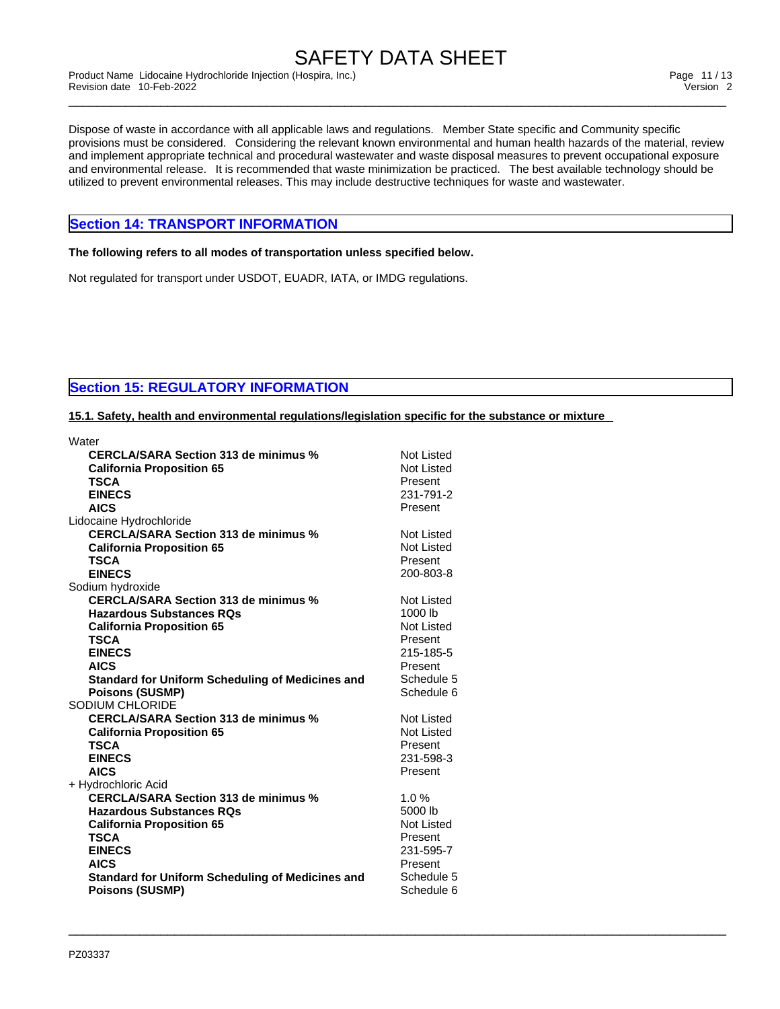# SAFETY DATA SHEET<br>Product Name Lidocaine Hydrochloride Injection (Hospira, Inc.)

\_\_\_\_\_\_\_\_\_\_\_\_\_\_\_\_\_\_\_\_\_\_\_\_\_\_\_\_\_\_\_\_\_\_\_\_\_\_\_\_\_\_\_\_\_\_\_\_\_\_\_\_\_\_\_\_\_\_\_\_\_\_\_\_\_\_\_\_\_\_\_\_\_\_\_\_\_\_\_\_\_\_\_\_\_\_\_\_\_\_\_\_\_ Product Name Lidocaine Hydrochloride Injection (Hospira, Inc.) Page 11 / 13 Revision date 10-Feb-2022 Version 2

Dispose of waste in accordance with all applicable laws and regulations. Member State specific and Community specific provisions must be considered. Considering the relevant known environmental and human health hazards of the material, review and implement appropriate technical and procedural wastewater and waste disposal measures to prevent occupational exposure and environmental release. It is recommended that waste minimization be practiced. The best available technology should be utilized to prevent environmental releases. This may include destructive techniques for waste and wastewater.

 $\_$  ,  $\_$  ,  $\_$  ,  $\_$  ,  $\_$  ,  $\_$  ,  $\_$  ,  $\_$  ,  $\_$  ,  $\_$  ,  $\_$  ,  $\_$  ,  $\_$  ,  $\_$  ,  $\_$  ,  $\_$  ,  $\_$  ,  $\_$  ,  $\_$  ,  $\_$  ,  $\_$  ,  $\_$  ,  $\_$  ,  $\_$  ,  $\_$  ,  $\_$  ,  $\_$  ,  $\_$  ,  $\_$  ,  $\_$  ,  $\_$  ,  $\_$  ,  $\_$  ,  $\_$  ,  $\_$  ,  $\_$  ,  $\_$  ,

### **Section 14: TRANSPORT INFORMATION**

### **The following refers to all modes of transportation unless specified below.**

Not regulated for transport under USDOT, EUADR, IATA, or IMDG regulations.

### **Section 15: REGULATORY INFORMATION**

**15.1. Safety, health and environmental regulations/legislation specific for the substance or mixture**

| Water                                                   |                   |
|---------------------------------------------------------|-------------------|
| <b>CERCLA/SARA Section 313 de minimus %</b>             | <b>Not Listed</b> |
| <b>California Proposition 65</b>                        | Not Listed        |
| <b>TSCA</b>                                             | Present           |
| <b>EINECS</b>                                           | 231-791-2         |
| <b>AICS</b>                                             | Present           |
| Lidocaine Hydrochloride                                 |                   |
| <b>CERCLA/SARA Section 313 de minimus %</b>             | <b>Not Listed</b> |
| <b>California Proposition 65</b>                        | Not Listed        |
| <b>TSCA</b>                                             | Present           |
| <b>EINECS</b>                                           | 200-803-8         |
| Sodium hydroxide                                        |                   |
| <b>CERCLA/SARA Section 313 de minimus %</b>             | Not Listed        |
| <b>Hazardous Substances RQs</b>                         | 1000 lb           |
| <b>California Proposition 65</b>                        | Not Listed        |
| <b>TSCA</b>                                             | Present           |
| <b>EINECS</b>                                           | 215-185-5         |
| <b>AICS</b>                                             | Present           |
| <b>Standard for Uniform Scheduling of Medicines and</b> | Schedule 5        |
| <b>Poisons (SUSMP)</b>                                  | Schedule 6        |
| SODIUM CHLORIDE                                         |                   |
| <b>CERCLA/SARA Section 313 de minimus %</b>             | Not Listed        |
| <b>California Proposition 65</b>                        | Not Listed        |
| <b>TSCA</b>                                             | Present           |
| <b>EINECS</b>                                           | 231-598-3         |
| <b>AICS</b>                                             | Present           |
| + Hydrochloric Acid                                     |                   |
| <b>CERCLA/SARA Section 313 de minimus %</b>             | 1.0%              |
| <b>Hazardous Substances RQs</b>                         | 5000 lb           |
| <b>California Proposition 65</b>                        | <b>Not Listed</b> |
| <b>TSCA</b>                                             | Present           |
| <b>EINECS</b>                                           | 231-595-7         |
| <b>AICS</b>                                             | Present           |
| <b>Standard for Uniform Scheduling of Medicines and</b> | Schedule 5        |
| <b>Poisons (SUSMP)</b>                                  | Schedule 6        |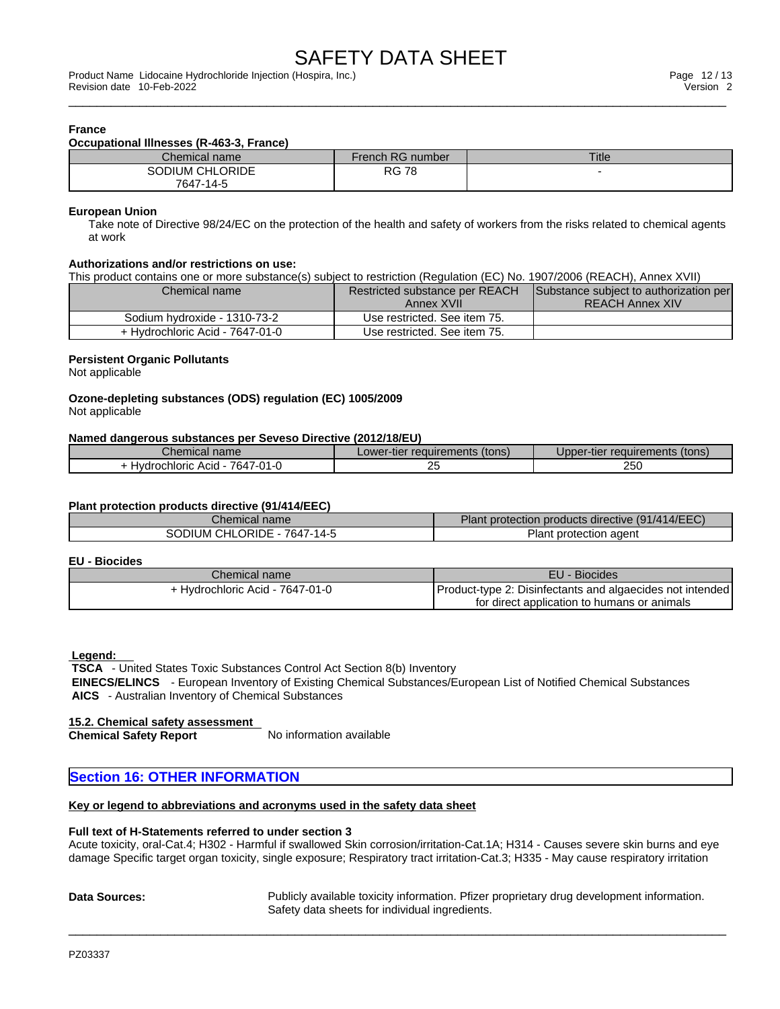### **France**

### **Occupational Illnesses (R-463-3, France)**

| Chemical name   | French RG number | <b>Title</b> |
|-----------------|------------------|--------------|
| SODIUM CHLORIDE | 78<br>RG.        |              |
| 7647-14-5       |                  |              |

### **European Union**

Take note of Directive 98/24/EC on the protection of the health and safety of workers from the risks related to chemical agents at work

### **Authorizations and/or restrictions on use:**

This product contains one or more substance(s) subject to restriction (Regulation (EC) No. 1907/2006 (REACH), Annex XVII)

| Chemical name                   | Restricted substance per REACH | Substance subject to authorization per |
|---------------------------------|--------------------------------|----------------------------------------|
|                                 | Annex XVII                     | <b>REACH Annex XIV</b>                 |
| Sodium hydroxide - 1310-73-2    | Use restricted. See item 75.   |                                        |
| + Hydrochloric Acid - 7647-01-0 | Use restricted. See item 75.   |                                        |

### **Persistent Organic Pollutants**

Not applicable

### **Ozone-depleting substances (ODS) regulation (EC) 1005/2009** Not applicable

### **Named dangerous substances per Seveso Directive (2012/18/EU)**

| name<br>Chemical                            | (tons)<br>r-tier reauirements ' | s (tons)<br>requirements<br>Jober-<br>∙tiei |  |
|---------------------------------------------|---------------------------------|---------------------------------------------|--|
| 7647<br>17-01-u<br>rochloric<br>Acid<br>. . | --                              | 250                                         |  |

### **Plant protection products directive (91/414/EEC)**

| Chemical name               | Plant protection products directive (91/414/EEC) |
|-----------------------------|--------------------------------------------------|
| SODIUM CHLORIDE - 7647-14-5 | Plant protection agent                           |

### **EU - Biocides**

| <i>Chemical name</i>            | EU<br><b>- Biocides</b>                                   |
|---------------------------------|-----------------------------------------------------------|
| + Hydrochloric Acid - 7647-01-0 | Product-type 2: Disinfectants and algaecides not intended |
|                                 | for direct application to humans or animals               |

 **Legend:** 

 **TSCA** - United States Toxic Substances Control Act Section 8(b) Inventory  **EINECS/ELINCS** - European Inventory of Existing Chemical Substances/European List of Notified Chemical Substances  **AICS** - Australian Inventory of Chemical Substances

### **15.2. Chemical safety assessment**

**Chemical Safety Report** No information available

### **Section 16: OTHER INFORMATION**

### **Key or legend to abbreviations and acronyms used in the safety data sheet**

### **Full text of H-Statements referred to undersection 3**

Acute toxicity, oral-Cat.4; H302 - Harmful if swallowed Skin corrosion/irritation-Cat.1A; H314 - Causes severe skin burns and eye damage Specific target organ toxicity, single exposure; Respiratory tract irritation-Cat.3; H335 - May cause respiratory irritation

 $\_$  ,  $\_$  ,  $\_$  ,  $\_$  ,  $\_$  ,  $\_$  ,  $\_$  ,  $\_$  ,  $\_$  ,  $\_$  ,  $\_$  ,  $\_$  ,  $\_$  ,  $\_$  ,  $\_$  ,  $\_$  ,  $\_$  ,  $\_$  ,  $\_$  ,  $\_$  ,  $\_$  ,  $\_$  ,  $\_$  ,  $\_$  ,  $\_$  ,  $\_$  ,  $\_$  ,  $\_$  ,  $\_$  ,  $\_$  ,  $\_$  ,  $\_$  ,  $\_$  ,  $\_$  ,  $\_$  ,  $\_$  ,  $\_$  ,

**Data Sources:** Publicly available toxicity information. Pfizer proprietary drug development information. Safety data sheets for individual ingredients.